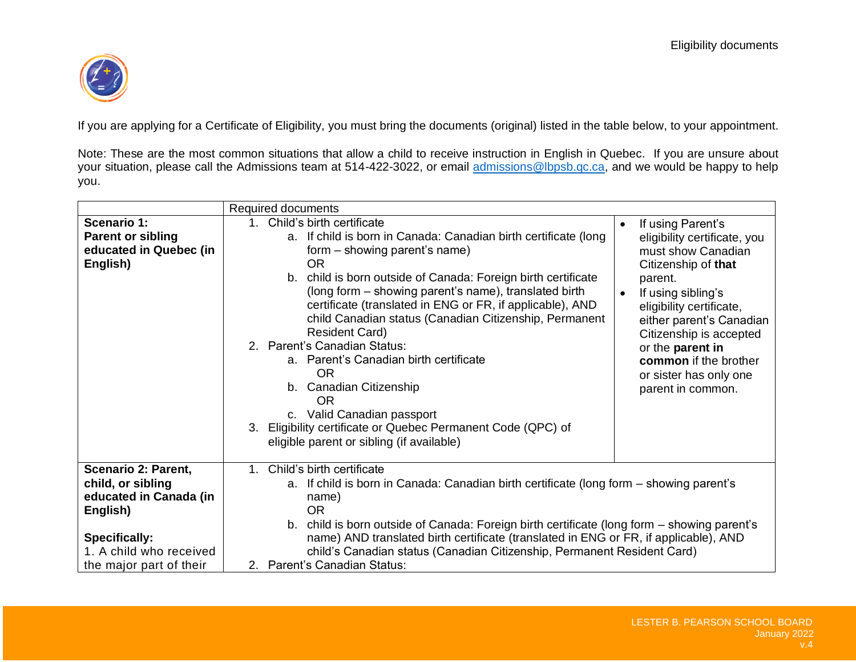

If you are applying for a Certificate of Eligibility, you must bring the documents (original) listed in the table below, to your appointment.

Note: These are the most common situations that allow a child to receive instruction in English in Quebec. If you are unsure about your situation, please call the Admissions team at 514-422-3022, or email [admissions@lbpsb.qc.ca,](mailto:admissions@lbpsb.qc.ca) and we would be happy to help you.

|                                                                                      | <b>Required documents</b>                                                                                                                                                                                                                                                                                                                                                                                                                                                                                                                                                                                                                                                                                                                                                                                                                                                                                                                                                                                                                           |
|--------------------------------------------------------------------------------------|-----------------------------------------------------------------------------------------------------------------------------------------------------------------------------------------------------------------------------------------------------------------------------------------------------------------------------------------------------------------------------------------------------------------------------------------------------------------------------------------------------------------------------------------------------------------------------------------------------------------------------------------------------------------------------------------------------------------------------------------------------------------------------------------------------------------------------------------------------------------------------------------------------------------------------------------------------------------------------------------------------------------------------------------------------|
| <b>Scenario 1:</b><br><b>Parent or sibling</b><br>educated in Quebec (in<br>English) | 1. Child's birth certificate<br>If using Parent's<br>$\bullet$<br>a. If child is born in Canada: Canadian birth certificate (long<br>eligibility certificate, you<br>form - showing parent's name)<br>must show Canadian<br><b>OR</b><br>Citizenship of that<br>b. child is born outside of Canada: Foreign birth certificate<br>parent.<br>(long form – showing parent's name), translated birth<br>If using sibling's<br>$\bullet$<br>certificate (translated in ENG or FR, if applicable), AND<br>eligibility certificate,<br>child Canadian status (Canadian Citizenship, Permanent<br>either parent's Canadian<br><b>Resident Card)</b><br>Citizenship is accepted<br>2. Parent's Canadian Status:<br>or the parent in<br>a. Parent's Canadian birth certificate<br>common if the brother<br><b>OR</b><br>or sister has only one<br>b. Canadian Citizenship<br>parent in common.<br>OR<br>c. Valid Canadian passport<br>Eligibility certificate or Quebec Permanent Code (QPC) of<br>$\mathbf{3}$<br>eligible parent or sibling (if available) |
| Scenario 2: Parent,<br>child, or sibling<br>educated in Canada (in<br>English)       | Child's birth certificate<br>$1_{-}$<br>a. If child is born in Canada: Canadian birth certificate (long form – showing parent's<br>name)<br><b>OR</b>                                                                                                                                                                                                                                                                                                                                                                                                                                                                                                                                                                                                                                                                                                                                                                                                                                                                                               |
| <b>Specifically:</b><br>1. A child who received<br>the major part of their           | b. child is born outside of Canada: Foreign birth certificate (long form – showing parent's<br>name) AND translated birth certificate (translated in ENG or FR, if applicable), AND<br>child's Canadian status (Canadian Citizenship, Permanent Resident Card)<br>2. Parent's Canadian Status:                                                                                                                                                                                                                                                                                                                                                                                                                                                                                                                                                                                                                                                                                                                                                      |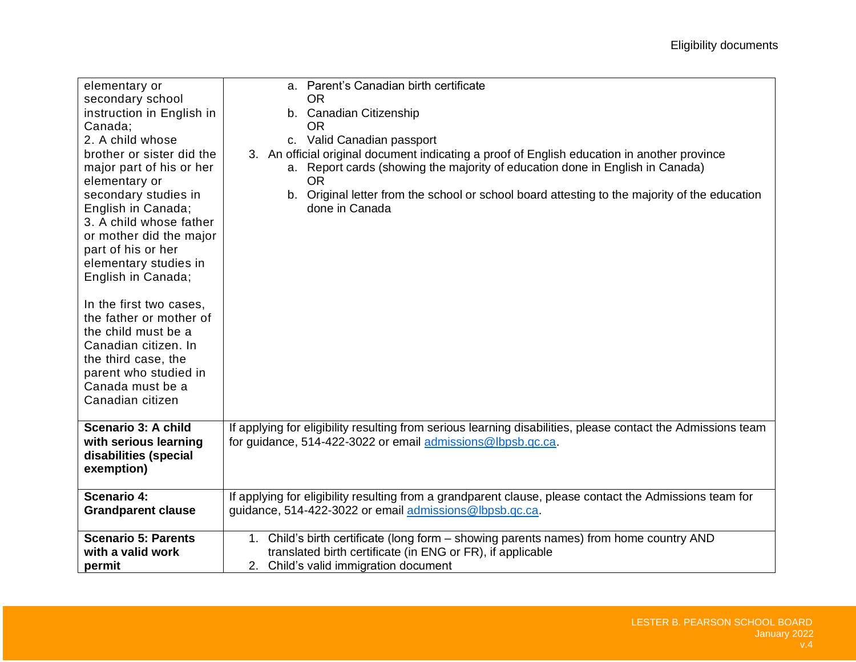| elementary or<br>secondary school<br>instruction in English in<br>Canada;<br>2. A child whose<br>brother or sister did the<br>major part of his or her<br>elementary or<br>secondary studies in<br>English in Canada;<br>3. A child whose father<br>or mother did the major<br>part of his or her<br>elementary studies in<br>English in Canada;<br>In the first two cases,<br>the father or mother of<br>the child must be a<br>Canadian citizen. In<br>the third case, the<br>parent who studied in<br>Canada must be a<br>Canadian citizen | a. Parent's Canadian birth certificate<br><b>OR</b><br>b. Canadian Citizenship<br><b>OR</b><br>c. Valid Canadian passport<br>3. An official original document indicating a proof of English education in another province<br>a. Report cards (showing the majority of education done in English in Canada)<br><b>OR</b><br>b. Original letter from the school or school board attesting to the majority of the education<br>done in Canada |
|-----------------------------------------------------------------------------------------------------------------------------------------------------------------------------------------------------------------------------------------------------------------------------------------------------------------------------------------------------------------------------------------------------------------------------------------------------------------------------------------------------------------------------------------------|--------------------------------------------------------------------------------------------------------------------------------------------------------------------------------------------------------------------------------------------------------------------------------------------------------------------------------------------------------------------------------------------------------------------------------------------|
| Scenario 3: A child<br>with serious learning<br>disabilities (special<br>exemption)                                                                                                                                                                                                                                                                                                                                                                                                                                                           | If applying for eligibility resulting from serious learning disabilities, please contact the Admissions team<br>for guidance, 514-422-3022 or email admissions@lbpsb.qc.ca.                                                                                                                                                                                                                                                                |
| Scenario 4:                                                                                                                                                                                                                                                                                                                                                                                                                                                                                                                                   | If applying for eligibility resulting from a grandparent clause, please contact the Admissions team for                                                                                                                                                                                                                                                                                                                                    |
| <b>Grandparent clause</b>                                                                                                                                                                                                                                                                                                                                                                                                                                                                                                                     | guidance, 514-422-3022 or email admissions@lbpsb.qc.ca.                                                                                                                                                                                                                                                                                                                                                                                    |
| <b>Scenario 5: Parents</b>                                                                                                                                                                                                                                                                                                                                                                                                                                                                                                                    | 1. Child's birth certificate (long form - showing parents names) from home country AND                                                                                                                                                                                                                                                                                                                                                     |
| with a valid work                                                                                                                                                                                                                                                                                                                                                                                                                                                                                                                             | translated birth certificate (in ENG or FR), if applicable                                                                                                                                                                                                                                                                                                                                                                                 |
| permit                                                                                                                                                                                                                                                                                                                                                                                                                                                                                                                                        | 2. Child's valid immigration document                                                                                                                                                                                                                                                                                                                                                                                                      |